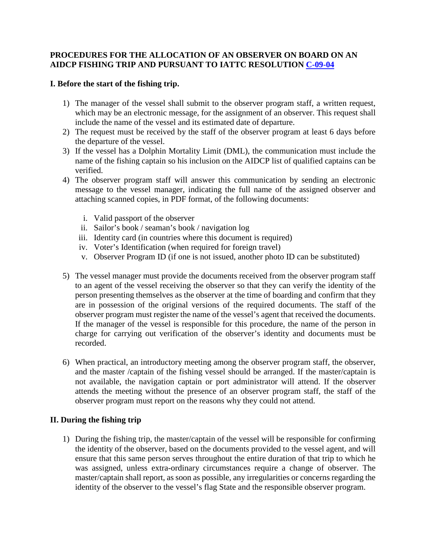## **PROCEDURES FOR THE ALLOCATION OF AN OBSERVER ON BOARD ON AN AIDCP FISHING TRIP AND PURSUANT TO IATTC RESOLUTION [C-09-04](https://www.iattc.org/PDFFiles2/Resolutions/C-09-04-Resolution-on-IDCP.pdf)**

## **I. Before the start of the fishing trip.**

- 1) The manager of the vessel shall submit to the observer program staff, a written request, which may be an electronic message, for the assignment of an observer. This request shall include the name of the vessel and its estimated date of departure.
- 2) The request must be received by the staff of the observer program at least 6 days before the departure of the vessel.
- 3) If the vessel has a Dolphin Mortality Limit (DML), the communication must include the name of the fishing captain so his inclusion on the AIDCP list of qualified captains can be verified.
- 4) The observer program staff will answer this communication by sending an electronic message to the vessel manager, indicating the full name of the assigned observer and attaching scanned copies, in PDF format, of the following documents:
	- i. Valid passport of the observer
	- ii. Sailor's book / seaman's book / navigation log
	- iii. Identity card (in countries where this document is required)
	- iv. Voter's Identification (when required for foreign travel)
	- v. Observer Program ID (if one is not issued, another photo ID can be substituted)
- 5) The vessel manager must provide the documents received from the observer program staff to an agent of the vessel receiving the observer so that they can verify the identity of the person presenting themselves as the observer at the time of boarding and confirm that they are in possession of the original versions of the required documents. The staff of the observer program must register the name of the vessel's agent that received the documents. If the manager of the vessel is responsible for this procedure, the name of the person in charge for carrying out verification of the observer's identity and documents must be recorded.
- 6) When practical, an introductory meeting among the observer program staff, the observer, and the master /captain of the fishing vessel should be arranged. If the master/captain is not available, the navigation captain or port administrator will attend. If the observer attends the meeting without the presence of an observer program staff, the staff of the observer program must report on the reasons why they could not attend.

## **II. During the fishing trip**

1) During the fishing trip, the master/captain of the vessel will be responsible for confirming the identity of the observer, based on the documents provided to the vessel agent, and will ensure that this same person serves throughout the entire duration of that trip to which he was assigned, unless extra-ordinary circumstances require a change of observer. The master/captain shall report, as soon as possible, any irregularities or concerns regarding the identity of the observer to the vessel's flag State and the responsible observer program.